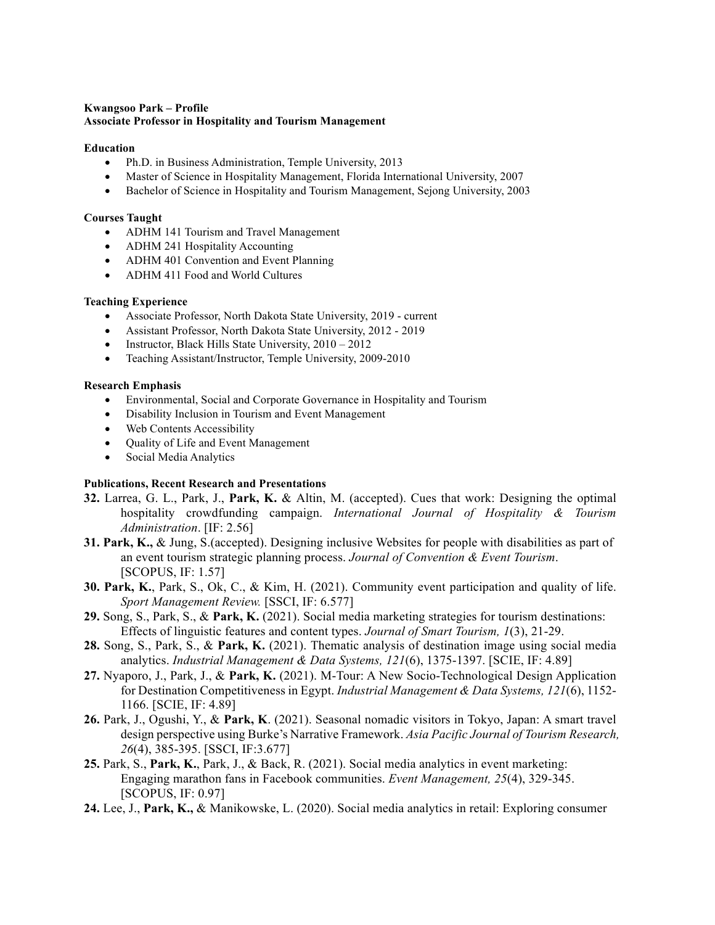#### **Kwangsoo Park – Profile Associate Professor in Hospitality and Tourism Management**

#### **Education**

- Ph.D. in Business Administration, Temple University, 2013
- Master of Science in Hospitality Management, Florida International University, 2007
- Bachelor of Science in Hospitality and Tourism Management, Sejong University, 2003

#### **Courses Taught**

- ADHM 141 Tourism and Travel Management
- ADHM 241 Hospitality Accounting
- ADHM 401 Convention and Event Planning
- ADHM 411 Food and World Cultures

#### **Teaching Experience**

- Associate Professor, North Dakota State University, 2019 current
- Assistant Professor, North Dakota State University, 2012 2019
- Instructor, Black Hills State University,  $2010 2012$
- Teaching Assistant/Instructor, Temple University, 2009-2010

#### **Research Emphasis**

- Environmental, Social and Corporate Governance in Hospitality and Tourism
- Disability Inclusion in Tourism and Event Management
- Web Contents Accessibility
- Quality of Life and Event Management
- Social Media Analytics

### **Publications, Recent Research and Presentations**

- **32.** Larrea, G. L., Park, J., **Park, K.** & Altin, M. (accepted). Cues that work: Designing the optimal hospitality crowdfunding campaign. *International Journal of Hospitality & Tourism Administration*. [IF: 2.56]
- **31. Park, K.,** & Jung, S.(accepted). Designing inclusive Websites for people with disabilities as part of an event tourism strategic planning process. *Journal of Convention & Event Tourism*. [SCOPUS, IF: 1.57]
- **30. Park, K.**, Park, S., Ok, C., & Kim, H. (2021). Community event participation and quality of life. *Sport Management Review.* [SSCI, IF: 6.577]
- **29.** Song, S., Park, S., & **Park, K.** (2021). Social media marketing strategies for tourism destinations: Effects of linguistic features and content types. *Journal of Smart Tourism, 1*(3), 21-29.
- **28.** Song, S., Park, S., & **Park, K.** (2021). Thematic analysis of destination image using social media analytics. *Industrial Management & Data Systems, 121*(6), 1375-1397. [SCIE, IF: 4.89]
- **27.** Nyaporo, J., Park, J., & **Park, K.** (2021). M-Tour: A New Socio-Technological Design Application for Destination Competitiveness in Egypt. *Industrial Management & Data Systems, 121*(6), 1152- 1166. [SCIE, IF: 4.89]
- **26.** Park, J., Ogushi, Y., & **Park, K**. (2021). Seasonal nomadic visitors in Tokyo, Japan: A smart travel design perspective using Burke's Narrative Framework. *Asia Pacific Journal of Tourism Research, 26*(4), 385-395. [SSCI, IF:3.677]
- **25.** Park, S., **Park, K.**, Park, J., & Back, R. (2021). Social media analytics in event marketing: Engaging marathon fans in Facebook communities. *Event Management, 25*(4), 329-345. [SCOPUS, IF: 0.97]
- **24.** Lee, J., **Park, K.,** & Manikowske, L. (2020). Social media analytics in retail: Exploring consumer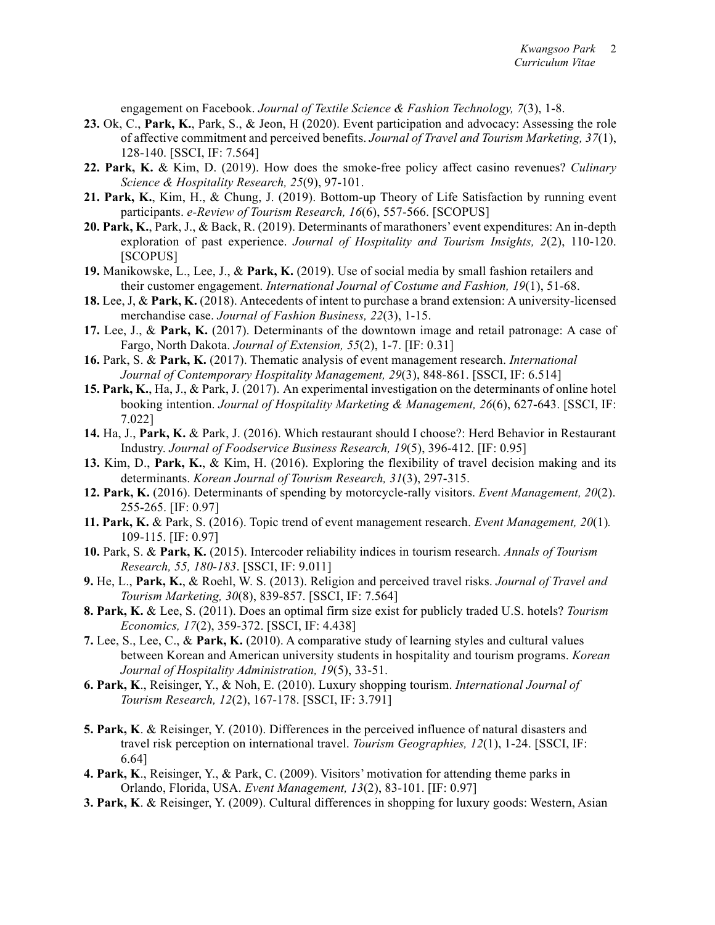engagement on Facebook. *Journal of Textile Science & Fashion Technology, 7*(3), 1-8.

- **23.** Ok, C., **Park, K.**, Park, S., & Jeon, H (2020). Event participation and advocacy: Assessing the role of affective commitment and perceived benefits. *Journal of Travel and Tourism Marketing, 37*(1), 128-140. [SSCI, IF: 7.564]
- **22. Park, K.** & Kim, D. (2019). How does the smoke-free policy affect casino revenues? *Culinary Science & Hospitality Research, 25*(9), 97-101.
- **21. Park, K.**, Kim, H., & Chung, J. (2019). Bottom-up Theory of Life Satisfaction by running event participants. *e-Review of Tourism Research, 16*(6), 557-566. [SCOPUS]
- **20. Park, K.**, Park, J., & Back, R. (2019). Determinants of marathoners' event expenditures: An in-depth exploration of past experience. *Journal of Hospitality and Tourism Insights, 2*(2), 110-120. [SCOPUS]
- **19.** Manikowske, L., Lee, J., & **Park, K.** (2019). Use of social media by small fashion retailers and their customer engagement. *International Journal of Costume and Fashion, 19*(1), 51-68.
- **18.** Lee, J, & **Park, K.** (2018). Antecedents of intent to purchase a brand extension: A university-licensed merchandise case. *Journal of Fashion Business, 22*(3), 1-15.
- **17.** Lee, J., & **Park, K.** (2017). Determinants of the downtown image and retail patronage: A case of Fargo, North Dakota. *Journal of Extension, 55*(2), 1-7. [IF: 0.31]
- **16.** Park, S. & **Park, K.** (2017). Thematic analysis of event management research. *International Journal of Contemporary Hospitality Management, 29*(3), 848-861. [SSCI, IF: 6.514]
- **15. Park, K.**, Ha, J., & Park, J. (2017). An experimental investigation on the determinants of online hotel booking intention. *Journal of Hospitality Marketing & Management, 26*(6), 627-643. [SSCI, IF: 7.022]
- **14.** Ha, J., **Park, K.** & Park, J. (2016). Which restaurant should I choose?: Herd Behavior in Restaurant Industry. *Journal of Foodservice Business Research, 19*(5), 396-412. [IF: 0.95]
- **13.** Kim, D., **Park, K.**, & Kim, H. (2016). Exploring the flexibility of travel decision making and its determinants. *Korean Journal of Tourism Research, 31*(3), 297-315.
- **12. Park, K.** (2016). Determinants of spending by motorcycle-rally visitors. *Event Management, 20*(2). 255-265. [IF: 0.97]
- **11. Park, K.** & Park, S. (2016). Topic trend of event management research. *Event Management, 20*(1)*.* 109-115. [IF: 0.97]
- **10.** Park, S. & **Park, K.** (2015). Intercoder reliability indices in tourism research. *Annals of Tourism Research, 55, 180-183*. [SSCI, IF: 9.011]
- **9.** He, L., **Park, K.**, & Roehl, W. S. (2013). Religion and perceived travel risks. *Journal of Travel and Tourism Marketing, 30*(8), 839-857. [SSCI, IF: 7.564]
- **8. Park, K.** & Lee, S. (2011). Does an optimal firm size exist for publicly traded U.S. hotels? *Tourism Economics, 17*(2), 359-372. [SSCI, IF: 4.438]
- **7.** Lee, S., Lee, C., & **Park, K.** (2010). A comparative study of learning styles and cultural values between Korean and American university students in hospitality and tourism programs. *Korean Journal of Hospitality Administration, 19*(5), 33-51.
- **6. Park, K**., Reisinger, Y., & Noh, E. (2010). Luxury shopping tourism. *International Journal of Tourism Research, 12*(2), 167-178. [SSCI, IF: 3.791]
- **5. Park, K**. & Reisinger, Y. (2010). Differences in the perceived influence of natural disasters and travel risk perception on international travel. *Tourism Geographies, 12*(1), 1-24. [SSCI, IF: 6.64]
- **4. Park, K**., Reisinger, Y., & Park, C. (2009). Visitors' motivation for attending theme parks in Orlando, Florida, USA. *Event Management, 13*(2), 83-101. [IF: 0.97]
- **3. Park, K**. & Reisinger, Y. (2009). Cultural differences in shopping for luxury goods: Western, Asian